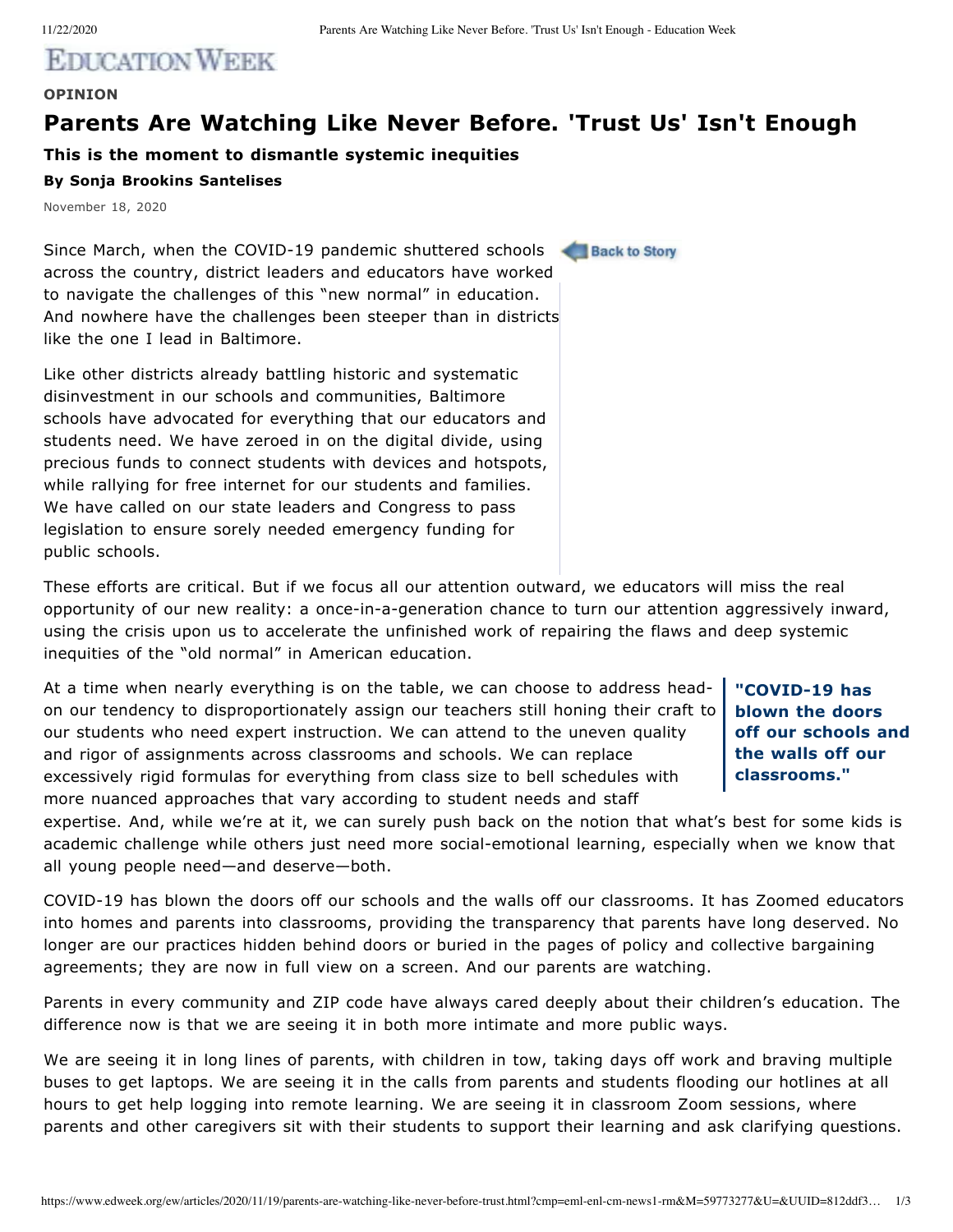## **EDICATION WEEK**

## **OPINION**

## **Parents Are Watching Like Never Before. 'Trust Us' Isn't Enough**

**This is the moment to dismantle systemic inequities**

## **By Sonja Brookins Santelises**

November 18, 2020

Since March, when the COVID-19 pandemic shuttered schools across the country, district leaders and educators have worked to navigate the challenges of this "new normal" in education. And nowhere have the challenges been steeper than in districts like the one I lead in Baltimore.

Like other districts already battling historic and systematic disinvestment in our schools and communities, Baltimore schools have advocated for everything that our educators and students need. We have zeroed in on the digital divide, using precious funds to connect students with devices and hotspots, while rallying for free internet for our students and families. We have called on our state leaders and Congress to pass legislation to ensure sorely needed emergency funding for public schools.

These efforts are critical. But if we focus all our attention outward, we educators will miss the real opportunity of our new reality: a once-in-a-generation chance to turn our attention aggressively inward, using the crisis upon us to accelerate the unfinished work of repairing the flaws and deep systemic inequities of the "old normal" in American education.

At a time when nearly everything is on the table, we can choose to address headon our tendency to disproportionately assign our teachers still honing their craft to our students who need expert instruction. We can attend to the uneven quality and rigor of assignments across classrooms and schools. We can replace excessively rigid formulas for everything from class size to bell schedules with more nuanced approaches that vary according to student needs and staff

**"COVID-19 has blown the doors off our schools and the walls off our classrooms."**

expertise. And, while we're at it, we can surely push back on the notion that what's best for some kids is academic challenge while others just need more social-emotional learning, especially when we know that all young people need—and deserve—both.

COVID-19 has blown the doors off our schools and the walls off our classrooms. It has Zoomed educators into homes and parents into classrooms, providing the transparency that parents have long deserved. No longer are our practices hidden behind doors or buried in the pages of policy and collective bargaining agreements; they are now in full view on a screen. And our parents are watching.

Parents in every community and ZIP code have always cared deeply about their children's education. The difference now is that we are seeing it in both more intimate and more public ways.

We are seeing it in long lines of parents, with children in tow, taking days off work and braving multiple buses to get laptops. We are seeing it in the calls from parents and students flooding our hotlines at all hours to get help logging into remote learning. We are seeing it in classroom Zoom sessions, where parents and other caregivers sit with their students to support their learning and ask clarifying questions.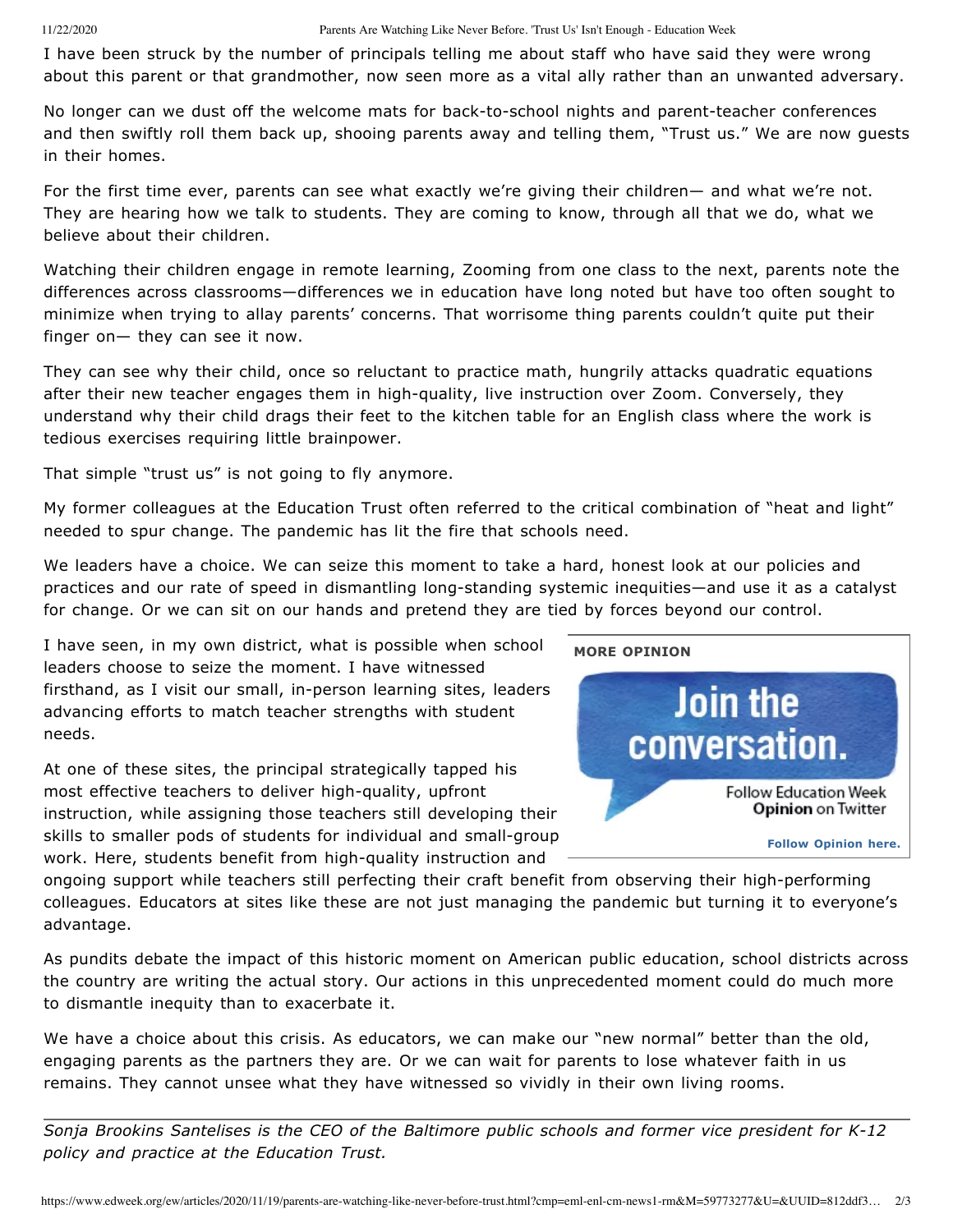I have been struck by the number of principals telling me about staff who have said they were wrong about this parent or that grandmother, now seen more as a vital ally rather than an unwanted adversary.

No longer can we dust off the welcome mats for back-to-school nights and parent-teacher conferences and then swiftly roll them back up, shooing parents away and telling them, "Trust us." We are now guests in their homes.

For the first time ever, parents can see what exactly we're giving their children— and what we're not. They are hearing how we talk to students. They are coming to know, through all that we do, what we believe about their children.

Watching their children engage in remote learning, Zooming from one class to the next, parents note the differences across classrooms—differences we in education have long noted but have too often sought to minimize when trying to allay parents' concerns. That worrisome thing parents couldn't quite put their finger on— they can see it now.

They can see why their child, once so reluctant to practice math, hungrily attacks quadratic equations after their new teacher engages them in high-quality, live instruction over Zoom. Conversely, they understand why their child drags their feet to the kitchen table for an English class where the work is tedious exercises requiring little brainpower.

That simple "trust us" is not going to fly anymore.

My former colleagues at the Education Trust often referred to the critical combination of "heat and light" needed to spur change. The pandemic has lit the fire that schools need.

We leaders have a choice. We can seize this moment to take a hard, honest look at our policies and practices and our rate of speed in dismantling long-standing systemic inequities—and use it as a catalyst for change. Or we can sit on our hands and pretend they are tied by forces beyond our control.

I have seen, in my own district, what is possible when school leaders choose to seize the moment. I have witnessed firsthand, as I visit our small, in-person learning sites, leaders advancing efforts to match teacher strengths with student needs.

At one of these sites, the principal strategically tapped his most effective teachers to deliver high-quality, upfront instruction, while assigning those teachers still developing their skills to smaller pods of students for individual and small-group work. Here, students benefit from high-quality instruction and



ongoing support while teachers still perfecting their craft benefit from observing their high-performing colleagues. Educators at sites like these are not just managing the pandemic but turning it to everyone's advantage.

As pundits debate the impact of this historic moment on American public education, school districts across the country are writing the actual story. Our actions in this unprecedented moment could do much more to dismantle inequity than to exacerbate it.

We have a choice about this crisis. As educators, we can make our "new normal" better than the old, engaging parents as the partners they are. Or we can wait for parents to lose whatever faith in us remains. They cannot unsee what they have witnessed so vividly in their own living rooms.

*Sonja Brookins Santelises is the CEO of the Baltimore public schools and former vice president for K-12 policy and practice at the Education Trust.*